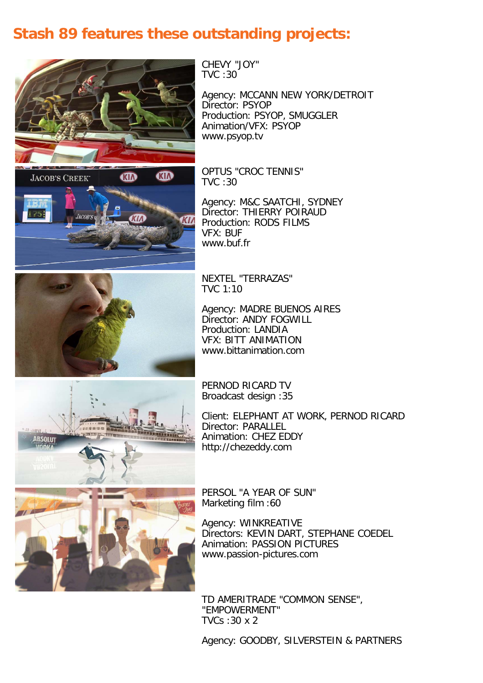## **Stash 89 features these outstanding projects:**



M **AD JACOB'S CREEK** 

CHEVY "JOY" TVC :30

Agency: MCCANN NEW YORK/DETROIT Director: PSYOP Production: PSYOP, SMUGGLER Animation/VFX: PSYOP www.psyop.tv

OPTUS "CROC TENNIS" TVC :30

Agency: M&C SAATCHI, SYDNEY Director: THIERRY POIRAUD Production: RODS FILMS VFX: BUF www.buf.fr



NEXTEL "TERRAZAS" TVC 1:10

Agency: MADRE BUENOS AIRES Director: ANDY FOGWILL Production: LANDIA VFX: BITT ANIMATION www.bittanimation.com



PERNOD RICARD TV Broadcast design :35

Client: ELEPHANT AT WORK, PERNOD RICARD Director: PARALLEL Animation: CHEZ EDDY http://chezeddy.com



PERSOL "A YEAR OF SUN" Marketing film :60

Agency: WINKREATIVE Directors: KEVIN DART, STEPHANE COEDEL Animation: PASSION PICTURES www.passion-pictures.com

TD AMERITRADE "COMMON SENSE", "EMPOWERMENT" TVCs :30 x 2

Agency: GOODBY, SILVERSTEIN & PARTNERS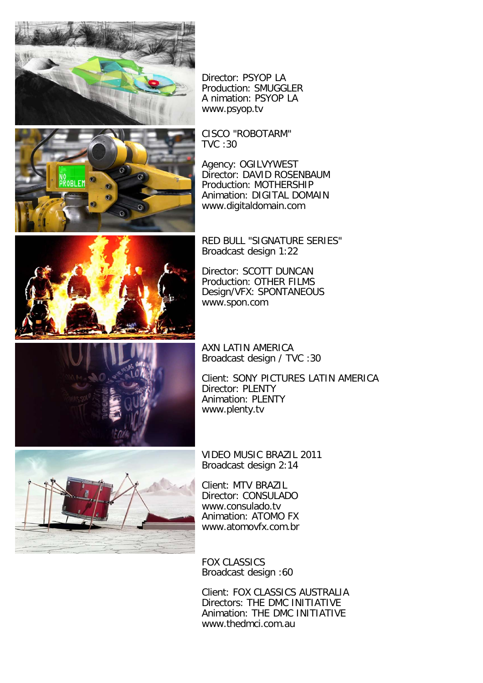



Director: PSYOP LA Production: SMUGGLER A nimation: PSYOP LA www.psyop.tv

CISCO "ROBOTARM" TVC :30

Agency: OGILVYWEST Director: DAVID ROSENBAUM Production: MOTHERSHIP Animation: DIGITAL DOMAIN www.digitaldomain.com



RED BULL "SIGNATURE SERIES" Broadcast design 1:22

Director: SCOTT DUNCAN Production: OTHER FILMS Design/VFX: SPONTANEOUS www.spon.com



AXN LATIN AMERICA Broadcast design / TVC :30

Client: SONY PICTURES LATIN AMERICA Director: PLENTY Animation: PLENTY www.plenty.tv



VIDEO MUSIC BRAZIL 2011 Broadcast design 2:14

Client: MTV BRAZIL Director: CONSULADO www.consulado.tv Animation: ATOMO FX www.atomovfx.com.br

FOX CLASSICS Broadcast design :60

Client: FOX CLASSICS AUSTRALIA Directors: THE DMC INITIATIVE Animation: THE DMC INITIATIVE www.thedmci.com.au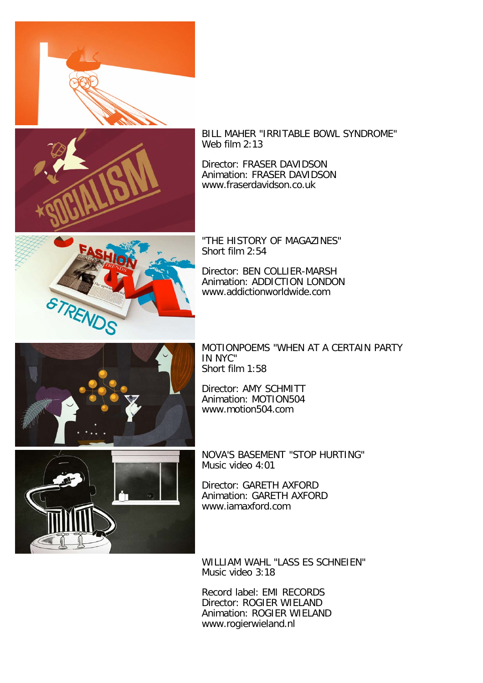



BILL MAHER "IRRITABLE BOWL SYNDROME" Web film 2:13

Director: FRASER DAVIDSON Animation: FRASER DAVIDSON www.fraserdavidson.co.uk



"THE HISTORY OF MAGAZINES" Short film 2:54

Director: BEN COLLIER-MARSH Animation: ADDICTION LONDON www.addictionworldwide.com



MOTIONPOEMS "WHEN AT A CERTAIN PARTY IN NYC" Short film 1:58

Director: AMY SCHMITT Animation: MOTION504 www.motion504.com

NOVA'S BASEMENT "STOP HURTING" Music video 4:01

Director: GARETH AXFORD Animation: GARETH AXFORD www.iamaxford.com

WILLIAM WAHL "LASS ES SCHNEIEN" Music video 3:18

Record label: EMI RECORDS Director: ROGIER WIELAND Animation: ROGIER WIELAND www.rogierwieland.nl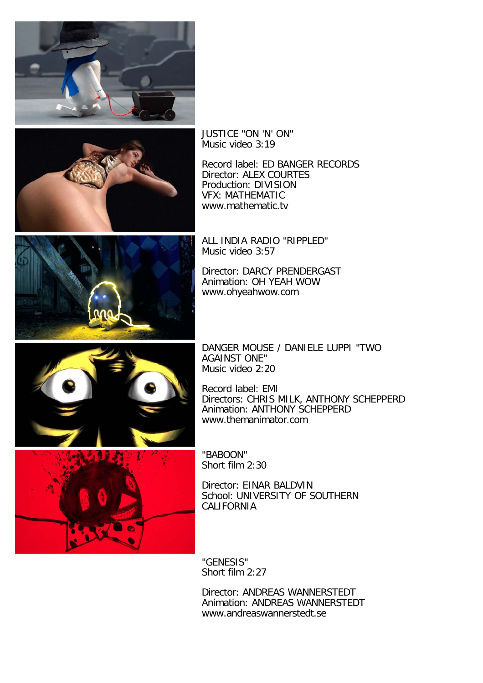



JUSTICE "ON 'N' ON" Music video 3:19

Record label: ED BANGER RECORDS Director: ALEX COURTES Production: DIVISION VFX: MATHEMATIC www.mathematic.tv



ALL INDIA RADIO "RIPPLED" Music video 3:57

Director: DARCY PRENDERGAST Animation: OH YEAH WOW www.ohyeahwow.com



DANGER MOUSE / DANIELE LUPPI "TWO AGAINST ONE" Music video 2:20

Record label: EMI Directors: CHRIS MILK, ANTHONY SCHEPPERD Animation: ANTHONY SCHEPPERD www.themanimator.com

"BABOON" Short film 2:30

Director: EINAR BALDVIN School: UNIVERSITY OF SOUTHERN CALIFORNIA

"GENESIS" Short film 2:27

Director: ANDREAS WANNERSTEDT Animation: ANDREAS WANNERSTEDT www.andreaswannerstedt.se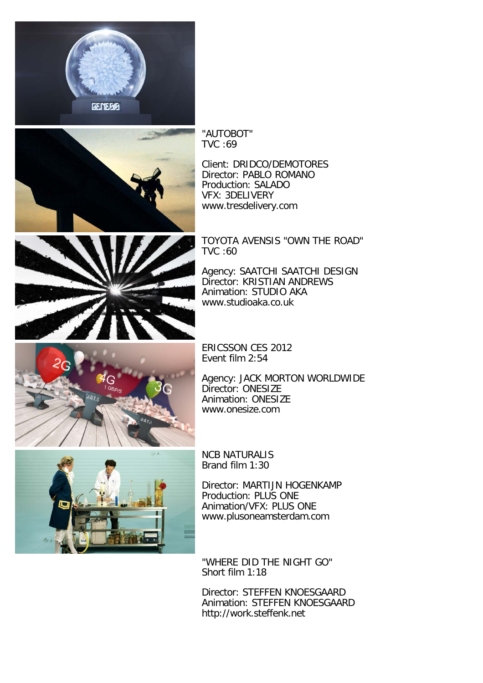



"AUTOBOT" TVC :69

Client: DRIDCO/DEMOTORES Director: PABLO ROMANO Production: SALADO VFX: 3DELIVERY www.tresdelivery.com

TOYOTA AVENSIS "OWN THE ROAD" TVC :60

Agency: SAATCHI SAATCHI DESIGN Director: KRISTIAN ANDREWS Animation: STUDIO AKA www.studioaka.co.uk



ERICSSON CES 2012 Event film 2:54

Agency: JACK MORTON WORLDWIDE Director: ONESIZE Animation: ONESIZE www.onesize.com



NCB NATURALIS Brand film 1:30

Director: MARTIJN HOGENKAMP Production: PLUS ONE Animation/VFX: PLUS ONE www.plusoneamsterdam.com

"WHERE DID THE NIGHT GO" Short film 1:18

Director: STEFFEN KNOESGAARD Animation: STEFFEN KNOESGAARD http://work.steffenk.net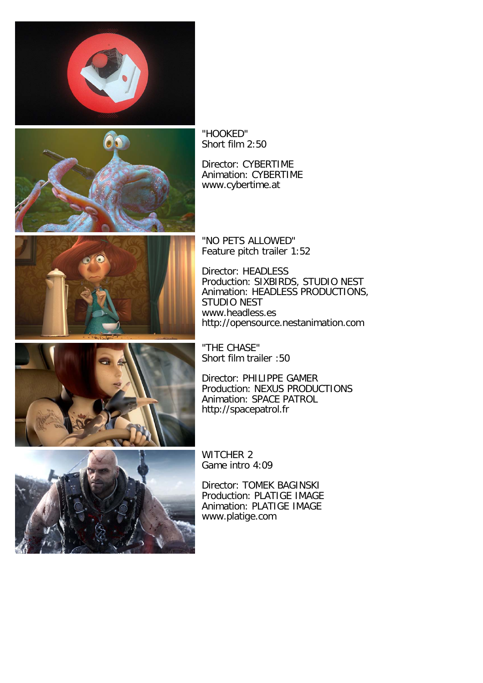



"HOOKED" Short film 2:50

Director: CYBERTIME Animation: CYBERTIME www.cybertime.at



"NO PETS ALLOWED" Feature pitch trailer 1:52

Director: HEADLESS Production: SIXBIRDS, STUDIO NEST Animation: HEADLESS PRODUCTIONS, STUDIO NEST www.headless.es http://opensource.nestanimation.com



"THE CHASE" Short film trailer :50

Director: PHILIPPE GAMER Production: NEXUS PRODUCTIONS Animation: SPACE PATROL http://spacepatrol.fr



WITCHER 2 Game intro 4:09

Director: TOMEK BAGINSKI Production: PLATIGE IMAGE Animation: PLATIGE IMAGE www.platige.com